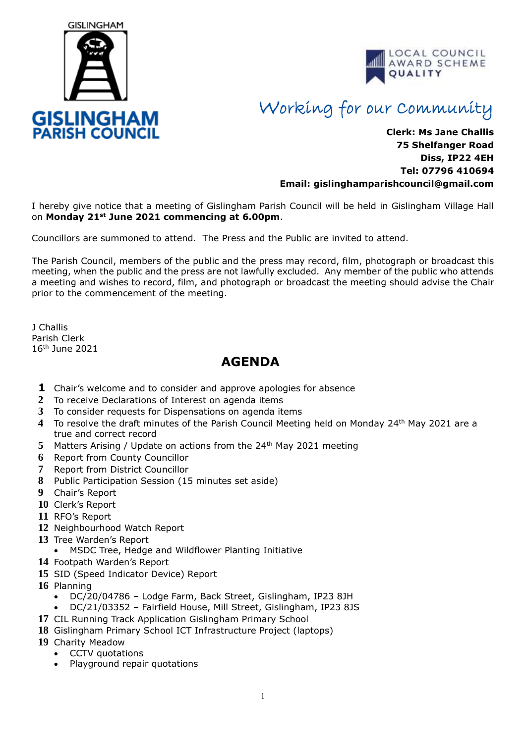



## Working for our Community

## **Clerk: Ms Jane Challis 75 Shelfanger Road Diss, IP22 4EH Tel: 07796 410694 Email: [gislinghamparishcouncil@gmail.com](mailto:gislinghamparishcouncil@gmail.com)**

I hereby give notice that a meeting of Gislingham Parish Council will be held in Gislingham Village Hall on **Monday 21st June 2021 commencing at 6.00pm**.

Councillors are summoned to attend. The Press and the Public are invited to attend.

The Parish Council, members of the public and the press may record, film, photograph or broadcast this meeting, when the public and the press are not lawfully excluded. Any member of the public who attends a meeting and wishes to record, film, and photograph or broadcast the meeting should advise the Chair prior to the commencement of the meeting.

J Challis Parish Clerk 16th June 2021

## **AGENDA**

- **1** Chair's welcome and to consider and approve apologies for absence
- **2** To receive Declarations of Interest on agenda items
- **3** To consider requests for Dispensations on agenda items
- **4** To resolve the draft minutes of the Parish Council Meeting held on Monday 24th May 2021 are a true and correct record
- **5** Matters Arising / Update on actions from the 24<sup>th</sup> May 2021 meeting
- **6** Report from County Councillor
- **7** Report from District Councillor
- **8** Public Participation Session (15 minutes set aside)
- **9** Chair's Report
- **10** Clerk's Report
- **11** RFO's Report
- **12** Neighbourhood Watch Report
- **13** Tree Warden's Report
- MSDC Tree, Hedge and Wildflower Planting Initiative
- **14** Footpath Warden's Report
- **15** SID (Speed Indicator Device) Report
- **16** Planning
	- DC/20/04786 Lodge Farm, Back Street, Gislingham, IP23 8JH
	- DC/21/03352 Fairfield House, Mill Street, Gislingham, IP23 8JS
- **17** CIL Running Track Application Gislingham Primary School
- **18** Gislingham Primary School ICT Infrastructure Project (laptops)
- **19** Charity Meadow
	- CCTV quotations
	- Playground repair quotations